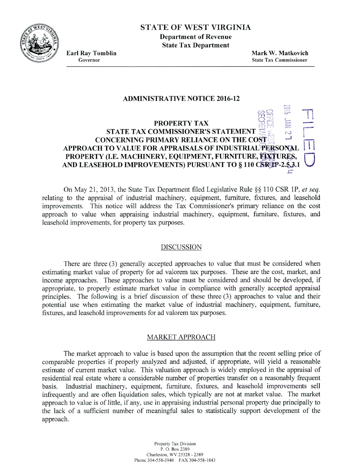

# STATE OF WEST VIRGINIA **Department of Revenue**

**State Tax Department**

**Earl Ray Tomblin Mark W. Matkovich** Governor State Tax **Commissioner**

 $\circ$ 

## **ADMINISTRATIVE NOTICE 2016-12**

# **PROPERTY TAX STATE TAX COMMISSIONER'S STATEMENT CONCERNING PRIMARY RELIANCE ON THE COST APPROACH TO VALUE FOR APPRAISALS OF INDUSTRIAL PERSONAL** PROPERTY (I.E. MACHINERY, EQUIPMENT, FURNITURE, EXTURES, **AND LEASEHOLD IMPROVEMENTS) PURSUANT TO § 110 CSR P-2.5.3.1** -n **U**

On May 21, 2013, the State Tax Department filed Legislative Rule §§ 110 CSR 1P, *et seq.* relating to the appraisal of industrial machinery, equipment, furniture, fixtures, and leasehold improvements. This notice will address the Tax Commissioner's primary reliance on the cost approach to value when appraising industrial machinery, equipment, furniture, fixtures, and leasehold improvements, for property tax purposes.

#### DISCUSSION

There are three (3) generally accepted approaches to value that must be considered when estimating market value of property for ad valorem tax purposes. These are the cost, market, and income approaches. These approaches to value must be considered and should be developed, if appropriate, to properly estimate market value in compliance with generally accepted appraisal principles. The following is a brief discussion of these three (3) approaches to value and their potential use when estimating the market value of industrial machinery, equipment, furniture, fixtures, and leasehold improvements for ad valorem tax purposes.

## MARKET APPROACH

The market approach to value is based upon the assumption that the recent selling price of comparable properties if properly analyzed and adjusted, if appropriate, will yield a reasonable estimate of current market value. This valuation approach is widely employed in the appraisal of residential real estate where a considerable number of properties transfer on a reasonably frequent basis. Industrial machinery, equipment, furniture, fixtures, and leasehold improvements sell infrequently and are often liquidation sales, which typically are not at market value. The market approach to value is of little, if any, use in appraising industrial personal property due principally to the lack of a sufficient number of meaningful sales to statistically support development of the approach.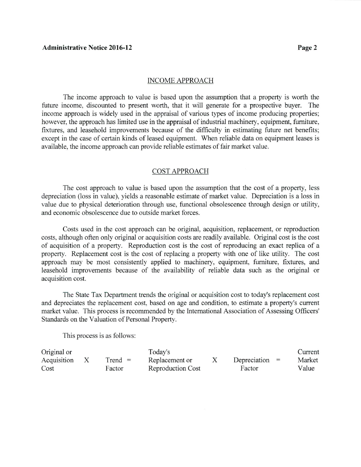#### INCOME APPROACH

The income approach to value is based upon the assumption that a property is worth the future income, discounted to present worth, that it will generate for a prospective buyer. The income approach is widely used in the appraisal of various types of income producing properties; however, the approach has limited use in the appraisal of industrial machinery, equipment, furniture, fixtures, and leasehold improvements because of the difficulty in estimating future net benefits; except in the case of certain kinds of leased equipment. When reliable data on equipment leases is available, the income approach can provide reliable estimates of fair market value.

## COST APPROACH

The cost approach to value is based upon the assumption that the cost of a property, less depreciation (loss in value), yields a reasonable estimate of market value. Depreciation is a loss in value due to physical deterioration through use, functional obsolescence through design or utility, and economic obsolescence due to outside market forces.

Costs used in the cost approach can be original, acquisition, replacement, or reproduction costs, although often only original or acquisition costs are readily available. Original cost is the cost of acquisition of a property. Reproduction cost is the cost of reproducing an exact replica of a property. Replacement cost is the cost of replacing a property with one of like utility. The cost approach may be most consistently applied to machinery, equipment, furniture, fixtures, and leasehold improvements because of the availability of reliable data such as the original or acquisition cost.

The State Tax Department trends the original or acquisition cost to today's replacement cost and depreciates the replacement cost, based on age and condition, to estimate a property's current market value. This process is recommended by the International Association of Assessing Officers' Standards on the Valuation of Personal Property.

This process is as follows:

| Original or |           | Today's                  |                  | Current |
|-------------|-----------|--------------------------|------------------|---------|
| Acquisition | $Trend =$ | Replacement or           | Depreciation $=$ | Market  |
| Cost        | Factor    | <b>Reproduction Cost</b> | Factor           | Value   |